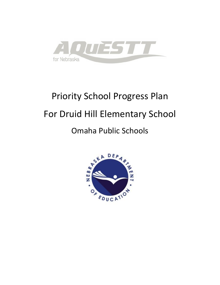

# Priority School Progress Plan For Druid Hill Elementary School

# Omaha Public Schools

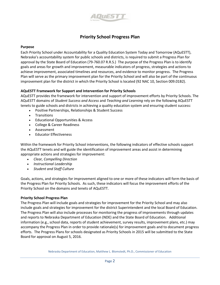

#### **Priority School Progress Plan**

#### **Purpose**

Each Priority School under Accountability for a Quality Education System Today and Tomorrow (AQuESTT), Nebraska's accountability system for public schools and districts, is required to submit a Progress Plan for approval by the State Board of Education (79-760.07 R.R.S.) The purpose of the Progress Plan is to identify goals and areas for growth and improvement, measurable indicators of progress, strategies and actions to achieve improvement, associated timelines and resources, and evidence to monitor progress. The Progress Plan will serve as the primary improvement plan for the Priority School and will also be part of the continuous improvement plan for the district in which the Priority School is located (92 NAC 10, Section 009.01B2).

#### **AQuESTT Framework for Support and Intervention for Priority Schools**

AQuESTT provides the framework for intervention and support of improvement efforts by Priority Schools. The AQuESTT domains of *Student Success and Access* and *Teaching and Learning* rely on the following AQuESTT tenets to guide schools and districts in achieving a quality education system and ensuring student success:

- Positive Partnerships, Relationships & Student Success
- Transitions
- Educational Opportunities & Access
- College & Career Readiness
- Assessment
- Educator Effectiveness

Within the framework for Priority School interventions, the following indicators of effective schools support the AQuESTT tenets and will guide the identification of improvement areas and assist in determining appropriate actions and strategies for improvement:

- *Clear, Compelling Direction*
- *Instructional Leadership*
- *Student and Staff Culture*

Goals, actions, and strategies for improvement aligned to one or more of these indicators will form the basis of the Progress Plan for Priority Schools. As such, these indicators will focus the improvement efforts of the Priority School on the domains and tenets of AQuESTT.

#### **Priority School Progress Plan**

The Progress Plan will include goals and strategies for improvement for the Priority School and may also include goals and strategies for improvement for the district Superintendent and the local Board of Education. The Progress Plan will also include processes for monitoring the progress of improvements through updates and reports to Nebraska Department of Education (NDE) and the State Board of Education. Additional information (e.g., school data, reports of student achievement, survey results, improvement plans, etc.) may accompany the Progress Plan in order to provide rationale(s) for improvement goals and to document progress efforts. The Progress Plans for schools designated as Priority Schools in 2015 will be submitted to the State Board for approval on August 5, 2016.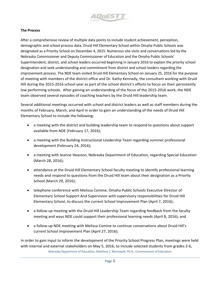

#### **The Process**

After a comprehensive review of multiple data points to include student achievement, perception, demographic and school process data, Druid Hill Elementary School within Omaha Public Schools was designated as a Priority School on December 4, 2015. Numerous site visits and conversations led by the Nebraska Commissioner and Deputy Commissioner of Education and the Omaha Public Schools' Superintendent, district, and school leaders occurred beginning in January 2016 to explain the priority school designation and seek understanding and commitment from district and school leaders regarding the improvement process. The NDE team visited Druid Hill Elementary School on January 25, 2016 for the purpose of meeting with members of the district office and Dr. Kathy Kennedy, the consultant working with Druid Hill during the 2015-2016 school year as part of the school district's efforts to focus on their persistently low performing schools. After gaining an understanding of the focus of the 2015-2016 work, the NDE team observed several episodes of coaching teachers by the Druid Hill leadership team.

Several additional meetings occurred with school and district leaders as well as staff members during the months of February, March, and April in order to gain an understanding of the needs of Druid Hill Elementary School to include the following:

- a meeting with the district and building leadership team to respond to questions about support available from NDE (February 17, 2016);
- a meeting with the Building Instructional Leadership Team regarding summer professional development (February 24, 2016);
- a meeting with Jeanne Heaston, Nebraska Department of Education, regarding Special Education (March 28, 2016);
- attendance at the Druid Hill Elementary School faculty meeting to identify professional learning needs and respond to questions from the Druid Hill team about their designation as a Priority School (March 29, 2016);
- telephone conference with Melissa Comine, Omaha Public Schools Executive Director of Elementary School Support And Supervision with supervisory responsibilities for Druid Hill Elementary School, to discuss the current School Improvement Plan (April 7, 2016);
- a follow-up meeting with the Druid Hill Leadership Team regarding feedback from the faculty meeting and ways NDE could support their professional learning needs (April 8, 2016); and
- a follow-up NDE meeting with Melissa Comine to continue conversations about Druid Hill's current School Improvement Plan (April 27, 2016);

Nebraska Department of Education, Matthew L. Blomstedt, Ph.D., Commissioner of Education In order to gain input to inform the development of the Priority School Progress Plan, meetings were held with internal and external stakeholders on May 5, 2016, to include selected students from grades 2-6,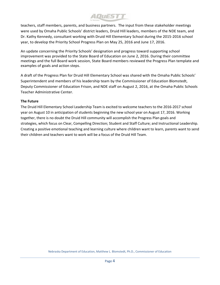21*0 117 451 61* 

teachers, staff members, parents, and business partners. The input from these stakeholder meetings were used by Omaha Public Schools' district leaders, Druid Hill leaders, members of the NDE team, and Dr. Kathy Kennedy, consultant working with Druid Hill Elementary School during the 2015-2016 school year, to develop the Priority School Progress Plan on May 25, 2016 and June 17, 2016.

An update concerning the Priority Schools' designation and progress toward supporting school improvement was provided to the State Board of Education on June 2, 2016. During their committee meetings and the full Board work session, State Board members reviewed the Progress Plan template and examples of goals and action steps.

A draft of the Progress Plan for Druid Hill Elementary School was shared with the Omaha Public Schools' Superintendent and members of his leadership team by the Commissioner of Education Blomstedt, Deputy Commissioner of Education Frison, and NDE staff on August 2, 2016, at the Omaha Public Schools Teacher Administrative Center.

#### **The Future**

The Druid Hill Elementary School Leadership Team is excited to welcome teachers to the 2016-2017 school year on August 10 in anticipation of students beginning the new school year on August 17, 2016. Working together, there is no doubt the Druid Hill community will accomplish the Progress Plan goals and strategies, which focus on Clear, Compelling Direction; Student and Staff Culture; and Instructional Leadership. Creating a positive emotional teaching and learning culture where children want to learn, parents want to send their children and teachers want to work will be a focus of the Druid Hill Team.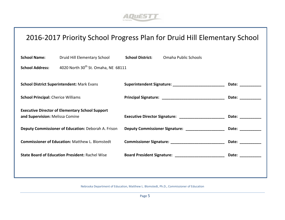

# 2016-2017 Priority School Progress Plan for Druid Hill Elementary School

| <b>School Name:</b>                                                                       | Druid Hill Elementary School                           | <b>School District:</b>                              | Omaha Public Schools                                                                                                                                                                                                           |                                                                                                                                                                                                                                |
|-------------------------------------------------------------------------------------------|--------------------------------------------------------|------------------------------------------------------|--------------------------------------------------------------------------------------------------------------------------------------------------------------------------------------------------------------------------------|--------------------------------------------------------------------------------------------------------------------------------------------------------------------------------------------------------------------------------|
| <b>School Address:</b>                                                                    | 4020 North 30 <sup>th</sup> St. Omaha, NE 68111        |                                                      |                                                                                                                                                                                                                                |                                                                                                                                                                                                                                |
| <b>School District Superintendent: Mark Evans</b>                                         |                                                        |                                                      |                                                                                                                                                                                                                                | Date: _________                                                                                                                                                                                                                |
| <b>School Principal: Cherice Williams</b>                                                 |                                                        |                                                      |                                                                                                                                                                                                                                | Date: __________                                                                                                                                                                                                               |
| <b>Executive Director of Elementary School Support</b><br>and Supervision: Melissa Comine |                                                        | Executive Director Signature: ______________________ | Date: ___________                                                                                                                                                                                                              |                                                                                                                                                                                                                                |
| Deputy Commissioner of Education: Deborah A. Frison                                       |                                                        | Deputy Commissioner Signature: ___________________   | Date: the contract of the contract of the contract of the contract of the contract of the contract of the contract of the contract of the contract of the contract of the contract of the contract of the contract of the cont |                                                                                                                                                                                                                                |
|                                                                                           | <b>Commissioner of Education: Matthew L. Blomstedt</b> |                                                      | Commissioner Signature: ____________________________                                                                                                                                                                           | Date: the contract of the contract of the contract of the contract of the contract of the contract of the contract of the contract of the contract of the contract of the contract of the contract of the contract of the cont |
|                                                                                           | <b>State Board of Education President: Rachel Wise</b> |                                                      | Board President Signature: ____________________________                                                                                                                                                                        | Date: __________                                                                                                                                                                                                               |
|                                                                                           |                                                        |                                                      |                                                                                                                                                                                                                                |                                                                                                                                                                                                                                |
|                                                                                           |                                                        |                                                      |                                                                                                                                                                                                                                |                                                                                                                                                                                                                                |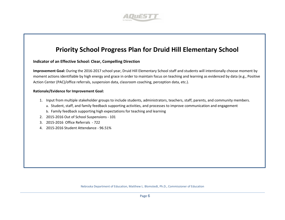

### **Priority School Progress Plan for Druid Hill Elementary School**

#### **Indicator of an Effective School: Clear, Compelling Direction**

**Improvement Goal:** During the 2016-2017 school year, Druid Hill Elementary School staff and students will intentionally choose moment by moment actions identifiable by high energy and grace in order to maintain focus on teaching and learning as evidenced by data (e.g., Positive Action Center (PAC)/office referrals, suspension data, classroom coaching, perception data, etc.).

#### **Rationale/Evidence for Improvement Goal:**

- 1. Input from multiple stakeholder groups to include students, administrators, teachers, staff, parents, and community members.
	- a. Student, staff, and family feedback supporting activities, and processes to improve communication and engagement
	- b. Family feedback supporting high expectations for teaching and learning
- 2. 2015-2016 Out of School Suspensions 101
- 3. 2015-2016 Office Referrals 722
- 4. 2015-2016 Student Attendance 96.51%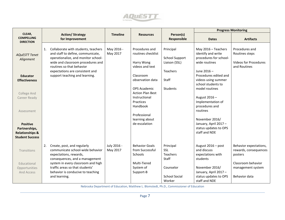

|                                                                                          |                                                                                                                                                            |                         |                                                                              |                                                     |                                                                                      | <b>Progress Monitoring</b>                                       |
|------------------------------------------------------------------------------------------|------------------------------------------------------------------------------------------------------------------------------------------------------------|-------------------------|------------------------------------------------------------------------------|-----------------------------------------------------|--------------------------------------------------------------------------------------|------------------------------------------------------------------|
| CLEAR,<br><b>COMPELLING</b><br><b>DIRECTION</b>                                          | <b>Action/ Strategy</b><br>for Improvement                                                                                                                 | <b>Timeline</b>         | <b>Resources</b>                                                             | Person(s)<br>Responsible                            | <b>Dates</b>                                                                         | <b>Artifacts</b>                                                 |
| <b>AQUESTT Tenet</b><br>Alignment                                                        | Collaborate with students, teachers<br>1.<br>and staff to define, communicate,<br>operationalize, and monitor school-<br>wide and classroom procedures and | May 2016 -<br>May 2017  | Procedures and<br>routines checklist<br>Harry Wong                           | Principal<br><b>School Support</b><br>Liaison (SSL) | May 2016 - Teachers<br>identify and write<br>procedures for school-<br>wide routines | Procedures and<br>Routines steps<br><b>Videos for Procedures</b> |
| <b>Educator</b><br><b>Effectiveness</b>                                                  | routines so that behavior<br>expectations are consistent and<br>support teaching and learning.                                                             |                         | videos and text<br>Classroom<br>observation data                             | <b>Teachers</b><br><b>Staff</b>                     | June 2016-<br>Procedures edited and<br>videos using summer<br>school students to     | and Routines                                                     |
| College And<br>Career Ready                                                              |                                                                                                                                                            |                         | <b>OPS Academic</b><br><b>Action Plan Best</b><br>Instructional<br>Practices | <b>Students</b>                                     | model routines<br>August 2016-<br>Implementation of                                  |                                                                  |
| Assessment                                                                               |                                                                                                                                                            |                         | Handbook<br>Professional                                                     |                                                     | procedures and<br>routines                                                           |                                                                  |
| <b>Positive</b><br>Partnerships,<br><b>Relationships &amp;</b><br><b>Student Success</b> |                                                                                                                                                            |                         | learning about<br>de-escalation                                              |                                                     | November 2016/<br>January, April 2017 -<br>status updates to OPS<br>staff and NDE    |                                                                  |
| Transitions                                                                              | 2.<br>Create, post, and regularly<br>communicate school-wide behavior<br>expectations, rewards,<br>consequences, and a management                          | July 2016 -<br>May 2017 | <b>Behavior Goals</b><br>from Successful<br>Schools                          | Principal<br>SSL<br><b>Teachers</b><br>Staff        | August 2016 - post<br>and discuss<br>expectations with<br>students                   | Behavior expectations,<br>rewards, consequences<br>posters       |
| Educational<br>Opportunities<br>And Access                                               | system in every classroom and high<br>traffic areas so that students'<br>behavior is conducive to teaching<br>and learning.                                |                         | Multi-Tiered<br>System of<br>Support-B                                       | Counselor<br><b>School Social</b><br>Worker         | November 2016/<br>January, April 2017 -<br>status updates to OPS<br>staff and NDE    | Classroom behavior<br>management system<br>Behavior data         |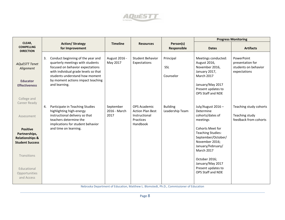

|                                                                                          |    |                                                                                                                                                                                     |                           |                                                                   |                                 |                                                                                                                                | <b>Progress Monitoring</b>                                             |
|------------------------------------------------------------------------------------------|----|-------------------------------------------------------------------------------------------------------------------------------------------------------------------------------------|---------------------------|-------------------------------------------------------------------|---------------------------------|--------------------------------------------------------------------------------------------------------------------------------|------------------------------------------------------------------------|
| CLEAR,<br><b>COMPELLNG</b><br><b>DIRECTION</b>                                           |    | <b>Action/ Strategy</b><br>for Improvement                                                                                                                                          | <b>Timeline</b>           | <b>Resources</b>                                                  | Person(s)<br><b>Responsible</b> | <b>Dates</b>                                                                                                                   | <b>Artifacts</b>                                                       |
| <b>AQUESTT Tenet</b><br>Alignment                                                        | 3. | Conduct beginning of the year and<br>quarterly meetings with students<br>focused on behavior expectations<br>with individual grade levels so that<br>students understand how moment | August 2016 -<br>May 2017 | <b>Student Behavior</b><br>Expectations                           | Principal<br>SSL<br>Counselor   | Meetings conducted:<br>August 2016,<br>November 2016,<br>January 2017,<br>March 2017                                           | PowerPoint<br>presentation for<br>students on behavior<br>expectations |
| <b>Educator</b><br><b>Effectiveness</b>                                                  |    | by moment actions impact teaching<br>and learning.                                                                                                                                  |                           |                                                                   |                                 | January/May 2017<br>Present updates to<br>OPS Staff and NDE                                                                    |                                                                        |
| College and<br>Career Ready                                                              | 4. | Participate in Teaching Studies                                                                                                                                                     | September                 | OPS Academic                                                      | <b>Building</b>                 | July/August 2016 -                                                                                                             | Teaching study cohorts                                                 |
| Assessment                                                                               |    | highlighting high-energy<br>instructional delivery so that<br>teachers determine the<br>implications for student behavior                                                           | 2016 - March<br>2017      | <b>Action Plan Best</b><br>Instructional<br>Practices<br>Handbook | Leadership Team                 | Determine<br>cohorts/dates of<br>meetings                                                                                      | Teaching study<br>feedback from cohorts                                |
| <b>Positive</b><br>Partnerships,<br><b>Relationships &amp;</b><br><b>Student Success</b> |    | and time on learning.                                                                                                                                                               |                           |                                                                   |                                 | Cohorts Meet for<br><b>Teaching Studies:</b><br>September/October/<br>November 2016;<br>January/February/<br><b>March 2017</b> |                                                                        |
| Transitions                                                                              |    |                                                                                                                                                                                     |                           |                                                                   |                                 | October 2016;<br>January/May 2017                                                                                              |                                                                        |
| Educational<br>Opportunities<br>and Access                                               |    |                                                                                                                                                                                     |                           |                                                                   |                                 | Present updates to<br>OPS Staff and NDE                                                                                        |                                                                        |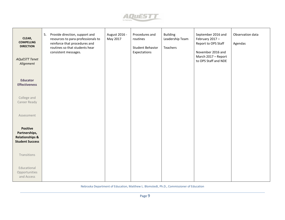

| CLEAR,<br><b>COMPELLNG</b><br><b>DIRECTION</b><br><b>AQuESTT Tenet</b><br>Alignment      | Provide direction, support and<br>5.<br>resources to para-professionals to<br>reinforce that procedures and<br>routines so that students hear<br>consistent messages. | August 2016 -<br>May 2017 | Procedures and<br>routines<br><b>Student Behavior</b><br>Expectations | <b>Building</b><br>Leadership Team<br>Teachers | September 2016 and<br>February 2017-<br>Report to OPS Staff<br>November 2016 and<br>March 2017 - Report<br>to OPS Staff and NDE | Observation data<br>Agendas |
|------------------------------------------------------------------------------------------|-----------------------------------------------------------------------------------------------------------------------------------------------------------------------|---------------------------|-----------------------------------------------------------------------|------------------------------------------------|---------------------------------------------------------------------------------------------------------------------------------|-----------------------------|
| <b>Educator</b><br><b>Effectiveness</b>                                                  |                                                                                                                                                                       |                           |                                                                       |                                                |                                                                                                                                 |                             |
| College and<br>Career Ready                                                              |                                                                                                                                                                       |                           |                                                                       |                                                |                                                                                                                                 |                             |
| Assessment                                                                               |                                                                                                                                                                       |                           |                                                                       |                                                |                                                                                                                                 |                             |
| <b>Positive</b><br>Partnerships,<br><b>Relationships &amp;</b><br><b>Student Success</b> |                                                                                                                                                                       |                           |                                                                       |                                                |                                                                                                                                 |                             |
| Transitions                                                                              |                                                                                                                                                                       |                           |                                                                       |                                                |                                                                                                                                 |                             |
| Educational<br>Opportunities<br>and Access                                               |                                                                                                                                                                       |                           |                                                                       |                                                |                                                                                                                                 |                             |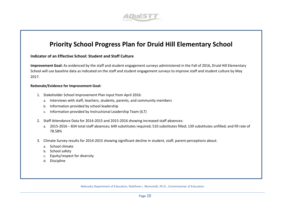

### **Priority School Progress Plan for Druid Hill Elementary School**

#### **Indicator of an Effective School: Student and Staff Culture**

**Improvement Goal:** As evidenced by the staff and student engagement surveys administered in the Fall of 2016, Druid Hill Elementary School will use baseline data as indicated on the staff and student engagement surveys to improve staff and student culture by May 2017.

#### **Rationale/Evidence for Improvement Goal:**

- 1. Stakeholder School Improvement Plan input from April 2016:
	- a. Interviews with staff, teachers, students, parents, and community members
	- b. Information provided by school leadership
	- c. Information provided by Instructional Leadership Team (ILT)
- 2. Staff Attendance Data for 2014-2015 and 2015-2016 showing increased staff absences:
	- a. 2015-2016 834 total staff absences; 649 substitutes required; 510 substitutes filled; 139 substitutes unfilled; and fill rate of 78.58%
- 3. Climate Survey results for 2014-2015 showing significant decline in student, staff, parent perceptions about:
	- a. School climate
	- b. School safety
	- c. Equity/respect for diversity
	- d. Discipline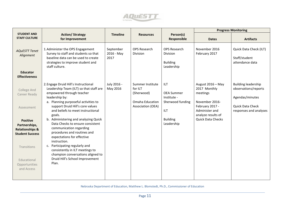

|                                                                                                                                                                                                                                   |                                                                                                                                                                                                                                                                                                                                                                                                                                                                                                                                                                                                     |                                 |                                                                                          |                                                                                                                   |                                                                                                                                                        | <b>Progress Monitoring</b>                                                                                          |
|-----------------------------------------------------------------------------------------------------------------------------------------------------------------------------------------------------------------------------------|-----------------------------------------------------------------------------------------------------------------------------------------------------------------------------------------------------------------------------------------------------------------------------------------------------------------------------------------------------------------------------------------------------------------------------------------------------------------------------------------------------------------------------------------------------------------------------------------------------|---------------------------------|------------------------------------------------------------------------------------------|-------------------------------------------------------------------------------------------------------------------|--------------------------------------------------------------------------------------------------------------------------------------------------------|---------------------------------------------------------------------------------------------------------------------|
| <b>STUDENT AND</b><br><b>STAFF CULTURE</b>                                                                                                                                                                                        | <b>Action/ Strategy</b><br>for Improvement                                                                                                                                                                                                                                                                                                                                                                                                                                                                                                                                                          | <b>Timeline</b>                 | <b>Resources</b>                                                                         | Person(s)<br>Responsible                                                                                          | <b>Dates</b>                                                                                                                                           | <b>Artifacts</b>                                                                                                    |
| <b>AQUESTT Tenet</b><br>Alignment<br><b>Educator</b>                                                                                                                                                                              | 1. Administer the OPS Engagement<br>Survey to staff and students so that<br>baseline data can be used to create<br>strategies to improve student and<br>staff culture.                                                                                                                                                                                                                                                                                                                                                                                                                              | September<br>2016 - May<br>2017 | <b>OPS Research</b><br>Division                                                          | <b>OPS Research</b><br><b>Division</b><br><b>Building</b><br>Leadership                                           | November 2016<br>February 2017                                                                                                                         | Quick Data Check (ILT)<br>Staff/student<br>attendance data                                                          |
| <b>Effectiveness</b><br><b>College And</b><br>Career Ready<br>Assessment<br><b>Positive</b><br>Partnerships,<br><b>Relationships &amp;</b><br><b>Student Success</b><br>Transitions<br>Educational<br>Opportunities<br>and Access | 2. Engage Druid Hill's Instructional<br>Leadership Team (ILT) so that staff are<br>empowered through teacher<br>leadership by:<br>a. Planning purposeful activities to<br>support Druid Hill's core values<br>and beliefs to meet instructional<br>goals.<br>b. Administering and analyzing Quick<br>Data Checks to ensure consistent<br>communication regarding<br>procedures and routines and<br>expectations for effective<br>instruction.<br>c. Participating regularly and<br>consistently in ILT meetings to<br>champion conversations aligned to<br>Druid Hill's School Improvement<br>Plan. | July 2016 -<br>May 2016         | Summer Institute<br>for ILT<br>(Sherwood)<br><b>Omaha Education</b><br>Association (OEA) | <b>ILT</b><br><b>OEA Summer</b><br>Institute -<br>Sherwood funding<br><b>ILT</b><br><b>Building</b><br>Leadership | August 2016 - May<br>2017 Monthly<br>meetings<br>November 2016-<br>February 2017 -<br>Administer and<br>analyze results of<br><b>Quick Data Checks</b> | <b>Building leadership</b><br>observations/reports<br>Agendas/minutes<br>Quick Data Check<br>responses and analyses |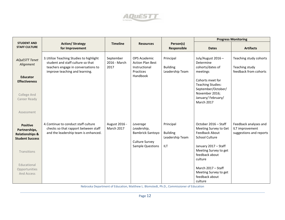

|                                                                                          |                                                                                                                                                        |                                    |                                                                                                 |                                                               |                                                                                                                         | <b>Progress Monitoring</b>                                          |
|------------------------------------------------------------------------------------------|--------------------------------------------------------------------------------------------------------------------------------------------------------|------------------------------------|-------------------------------------------------------------------------------------------------|---------------------------------------------------------------|-------------------------------------------------------------------------------------------------------------------------|---------------------------------------------------------------------|
| <b>STUDENT AND</b><br><b>STAFF CULTURE</b>                                               | <b>Action/ Strategy</b><br>for Improvement                                                                                                             | <b>Timeline</b>                    | <b>Resources</b>                                                                                | Person(s)<br>Responsible                                      | <b>Dates</b>                                                                                                            | <b>Artifacts</b>                                                    |
| <b>AQuESTT Tenet</b><br>Alignment                                                        | 3. Utilize Teaching Studies to highlight<br>student and staff culture so that<br>teachers engage in conversations to<br>improve teaching and learning. | September<br>2016 - March<br>2017  | <b>OPS Academic</b><br><b>Action Plan Best</b><br>Instructional<br>Practices                    | Principal<br><b>Building</b><br>Leadership Team               | July/August 2016 -<br>Determine<br>cohorts/dates of<br>meetings                                                         | Teaching study cohorts<br>Teaching study<br>feedback from cohorts   |
| <b>Educator</b><br><b>Effectiveness</b>                                                  |                                                                                                                                                        |                                    | Handbook                                                                                        |                                                               | Cohorts meet for<br><b>Teaching Studies:</b><br>September/October/                                                      |                                                                     |
| <b>College And</b><br>Career Ready                                                       |                                                                                                                                                        |                                    |                                                                                                 |                                                               | November 2016;<br>January/February/<br><b>March 2017</b>                                                                |                                                                     |
| Assessment                                                                               |                                                                                                                                                        |                                    |                                                                                                 |                                                               |                                                                                                                         |                                                                     |
| <b>Positive</b><br>Partnerships,<br><b>Relationships &amp;</b><br><b>Student Success</b> | 4. Continue to conduct staff culture<br>checks so that rapport between staff<br>and the leadership team is enhanced.                                   | August 2016 -<br><b>March 2017</b> | Leverage<br>Leadership,<br>Bambrick-Santoyo<br><b>Culture Survey</b><br><b>Sample Questions</b> | Principal<br><b>Building</b><br>Leadership Team<br><b>ILT</b> | October 2016 - Staff<br>Meeting Survey to Get<br><b>Feedback About</b><br><b>School Culture</b><br>January 2017 - Staff | Feedback analyses and<br>ILT improvement<br>suggestions and reports |
| Transitions                                                                              |                                                                                                                                                        |                                    |                                                                                                 |                                                               | Meeting Survey to get<br>feedback about<br>culture                                                                      |                                                                     |
| Educational<br>Opportunities<br>And Access                                               |                                                                                                                                                        |                                    |                                                                                                 |                                                               | March 2017 - Staff<br>Meeting Survey to get<br>feedback about<br>culture                                                |                                                                     |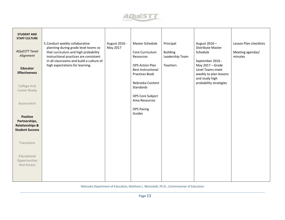

| <b>STUDENT AND</b><br><b>STAFF CULTURE</b>                                               |                                                                                                                                                                                                       |                           |                                                                       |                                                 |                                                                                  |                                                       |
|------------------------------------------------------------------------------------------|-------------------------------------------------------------------------------------------------------------------------------------------------------------------------------------------------------|---------------------------|-----------------------------------------------------------------------|-------------------------------------------------|----------------------------------------------------------------------------------|-------------------------------------------------------|
| <b>AQuESTT Tenet</b><br>Alignment                                                        | 5. Conduct weekly collaborative<br>planning during grade level teams so<br>that curriculum and high probability<br>instructional practices are consistent<br>in all classrooms and build a culture of | August 2016 -<br>May 2017 | Master Schedule<br>Core Curriculum<br>Resources                       | Principal<br><b>Building</b><br>Leadership Team | August 2016-<br>Distribute Master<br>Schedule<br>September 2016 -                | Lesson Plan checklists<br>Meeting agendas/<br>minutes |
| <b>Educator</b><br><b>Effectiveness</b>                                                  | high expectations for learning.                                                                                                                                                                       |                           | <b>OPS Action Plan</b><br><b>Best Instructional</b><br>Practices Book | Teachers                                        | May 2017 - Grade<br>Level Teams meet<br>weekly to plan lessons<br>and study high |                                                       |
| College And<br>Career Ready                                                              |                                                                                                                                                                                                       |                           | Nebraska Content<br>Standards                                         |                                                 | probability strategies                                                           |                                                       |
| Assessment                                                                               |                                                                                                                                                                                                       |                           | OPS Core Subject<br>Area Resources                                    |                                                 |                                                                                  |                                                       |
| <b>Positive</b><br>Partnerships,<br><b>Relationships &amp;</b><br><b>Student Success</b> |                                                                                                                                                                                                       |                           | <b>OPS Pacing</b><br>Guides                                           |                                                 |                                                                                  |                                                       |
| Transitions                                                                              |                                                                                                                                                                                                       |                           |                                                                       |                                                 |                                                                                  |                                                       |
| Educational<br>Opportunities<br>And Access                                               |                                                                                                                                                                                                       |                           |                                                                       |                                                 |                                                                                  |                                                       |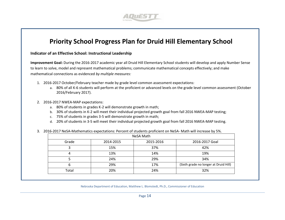

## **Priority School Progress Plan for Druid Hill Elementary School**

**Indicator of an Effective School: Instructional Leadership** 

**Improvement Goal:** During the 2016-2017 academic year all Druid Hill Elementary School students will develop and apply Number Sense to learn to solve, model and represent mathematical problems; communicate mathematical concepts effectively; and make mathematical connections as evidenced *by multiple measures:*

- 1. 2016-2017 October/February teacher made by grade level common assessment expectations:
	- a. 80% of all K-6 students will perform at the proficient or advanced levels on the grade level common assessment (October 2016/February 2017).
- 2. 2016-2017 NWEA-MAP expectations:
	- a. 80% of students in grades K-2 will demonstrate growth in math;
	- b. 30% of students in K-2 will meet their individual projected growth goal from fall 2016 NWEA-MAP testing;
	- c. 75% of students in grades 3-5 will demonstrate growth in math;
	- d. 20% of students in 3-5 will meet their individual projected growth goal from fall 2016 NWEA-MAP testing.

#### 3. 2016-2017 NeSA-Mathematics expectations: Percent of students proficient on NeSA- Math will increase by 5%.

| NeSA Math |           |           |                                       |  |  |  |  |
|-----------|-----------|-----------|---------------------------------------|--|--|--|--|
| Grade     | 2014-2015 | 2015-2016 | 2016-2017 Goal                        |  |  |  |  |
|           | 15%       | 37%       | 42%                                   |  |  |  |  |
| 4         | 13%       | 14%       | 19%                                   |  |  |  |  |
|           | 24%       | 29%       | 34%                                   |  |  |  |  |
| h         | 29%       | 17%       | (Sixth grade no longer at Druid Hill) |  |  |  |  |
| Total     | 20%       | 24%       | 32%                                   |  |  |  |  |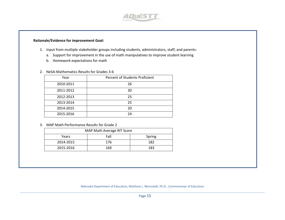

#### **Rationale/Evidence for improvement Goal:**

- 1. Input from multiple stakeholder groups including students, administrators, staff, and parents:
	- a. Support for improvement in the use of math manipulatives to improve student learning
	- b. Homework expectations for math
- 2. NeSA-Mathematics Results for Grades 3-6

| Year      | Percent of Students Proficient |
|-----------|--------------------------------|
| 2010-2011 | 26                             |
| 2011-2012 | 30                             |
| 2012-2013 | 25                             |
| 2013-2014 | 25                             |
| 2014-2015 | 20                             |
| 2015-2016 | 24                             |

3. MAP Math Performance Results for Grade 2

| MAP Math Average RIT Score |      |        |  |  |  |  |  |
|----------------------------|------|--------|--|--|--|--|--|
| Years                      | Fall | Spring |  |  |  |  |  |
| 2014-2015                  | 176  | 182    |  |  |  |  |  |
| 2015-2016                  | 169  | 183    |  |  |  |  |  |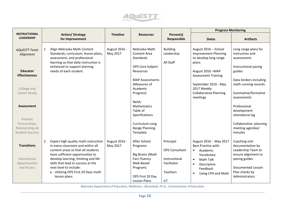

|                                           |                                            |                 |                        |                                 | <b>Progress Monitoring</b>      |                                                |
|-------------------------------------------|--------------------------------------------|-----------------|------------------------|---------------------------------|---------------------------------|------------------------------------------------|
| <b>INSTRUCTIONAL</b><br><b>LEADERSHIP</b> | <b>Action/ Strategy</b>                    | <b>Timeline</b> | <b>Resources</b>       | Person(s)<br><b>Responsible</b> |                                 |                                                |
|                                           | for Improvement                            |                 |                        |                                 | <b>Dates</b>                    | <b>Artifacts</b>                               |
|                                           |                                            |                 |                        |                                 |                                 |                                                |
| <b>AQuESTT Tenet</b>                      | Align Nebraska Math Content<br>1.          | August 2016 -   | Nebraska Math          | <b>Building</b>                 | August 2016 - School            | Long range plans for                           |
| Alignment                                 | Standards, curriculum, lesson plans,       | May 2017        | <b>Content Area</b>    | Leadership                      | <b>Improvement Planning</b>     | instruction and                                |
|                                           | assessment, and professional               |                 | Standards              |                                 | to develop long range           | assessments                                    |
|                                           | learning so that daily instruction is      |                 |                        | All Staff                       | plans                           |                                                |
| <b>Educator</b>                           | enhanced to support learning               |                 | OPS Core Subject       |                                 |                                 | Instructional pacing                           |
| <b>Effectiveness</b>                      | needs of each student.                     |                 | Resources              |                                 | August 2016 - MAP               | guides                                         |
|                                           |                                            |                 | <b>MAP Assessments</b> |                                 | <b>Assessment Training</b>      |                                                |
|                                           |                                            |                 | (Measures of           |                                 | September 2016 - May            | Data binders including<br>math running records |
| College and                               |                                            |                 | Academic               |                                 | 2017 Weekly                     |                                                |
| Career Ready                              |                                            |                 | Progress)              |                                 | <b>Collaborative Planning</b>   | Summative/formative                            |
|                                           |                                            |                 |                        |                                 | meetings                        | assessments                                    |
|                                           |                                            |                 | NeSA-                  |                                 |                                 |                                                |
| <b>Assessment</b>                         |                                            |                 | Mathematics            |                                 |                                 | Professional                                   |
|                                           |                                            |                 | Table of               |                                 |                                 | development                                    |
|                                           |                                            |                 | Specifications         |                                 |                                 | attendance log                                 |
| Positive                                  |                                            |                 |                        |                                 |                                 |                                                |
| Partnerships,                             |                                            |                 | Curriculum Long        |                                 |                                 | Collaborative planning                         |
| Relationships &                           |                                            |                 | Range Planning         |                                 |                                 | meeting agendas/                               |
| <b>Student Success</b>                    |                                            |                 | Template               |                                 |                                 | minutes                                        |
|                                           |                                            |                 |                        |                                 |                                 |                                                |
|                                           | Expect high quality math instruction<br>2. | August 2016 -   | After School           | Principal                       | August 2016 - May 2017          | Coaching visit                                 |
| <b>Transitions</b>                        | in every classroom and within all          | May 2017        | Programs               |                                 | <b>Best Practice with:</b>      | documentation by                               |
|                                           | content areas so that all students         |                 |                        | <b>OPS Consultant</b>           | Academic<br>$\bullet$           | Leadership Team to                             |
|                                           | have sufficient opportunities to           |                 | Big Brainz (Math       |                                 | Vocabulary                      | ensure alignment to                            |
| Educational                               | develop learning, thinking and life        |                 | <b>Fact Fluency</b>    | Instructional                   | Math Talk<br>$\bullet$          | pacing guides                                  |
| Opportunities                             | skills that lead to success at the         |                 | Web-Based              | Facilitator                     | Descriptive<br>$\bullet$        |                                                |
| and Access                                | next level to include:                     |                 | Program)               |                                 | Feedback                        | <b>Documented Lesson</b>                       |
|                                           | a. Utilizing OPS First 20 Days math        |                 |                        | <b>Teachers</b>                 | Using CPA and Math<br>$\bullet$ | Plan checks by                                 |
|                                           | lesson plans                               |                 | OPS First 20 Day       |                                 |                                 | Administrators                                 |
|                                           |                                            |                 | <b>Lesson Plans</b>    | ILT                             |                                 |                                                |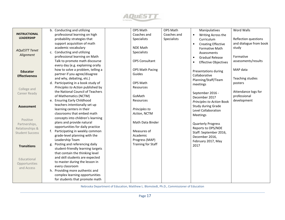

|                        | b. Conducting and utilizing         | <b>OPS Math</b>        | <b>OPS Math</b>    | Manipulatives                            | <b>Word Walls</b>                   |
|------------------------|-------------------------------------|------------------------|--------------------|------------------------------------------|-------------------------------------|
| <b>INSTRUCTIONAL</b>   | professional learning on high       | Coaches and            | Coaches and        | Writing Across the<br>$\bullet$          |                                     |
| <b>LEADERSHIP</b>      | probability strategies that         | Specialists            | <b>Specialists</b> | Curriculum                               | Reflection questions                |
|                        | support acquisition of math         |                        |                    | <b>Creating Effective</b><br>$\bullet$   | and dialogue from book              |
|                        | academic vocabulary                 | <b>NDE Math</b>        |                    | <b>Formative Math</b>                    | study                               |
| <b>AQUESTT Tenet</b>   | c. Conducting and utilizing         | Specialists            |                    |                                          |                                     |
| Alignment              | professional learning on Math       |                        |                    | Assessments                              | Formative                           |
|                        | Talk to promote math discourse      | <b>OPS Consultant</b>  |                    | <b>Gradual Release</b><br>$\bullet$      | assessments/results                 |
|                        | every day (e.g. explaining orally   |                        |                    | <b>Effective Objectives</b><br>$\bullet$ |                                     |
|                        | how to solve a problem, telling a   | <b>OPS Math Pacing</b> |                    |                                          | MAP data                            |
| <b>Educator</b>        | partner if you agree/disagree       | Guides                 |                    | Presentations during                     |                                     |
| <b>Effectiveness</b>   | and why, debating, etc.)            |                        |                    | Collaborative                            |                                     |
|                        | d. Participating in a book study of | <b>OPS Math</b>        |                    | Planning/Staff/Team                      | Teaching studies                    |
|                        | Principles to Action published by   | Resources              |                    | meetings                                 | posters                             |
| College and            | the National Council of Teachers    |                        |                    |                                          |                                     |
| Career Ready           |                                     | GoMath                 |                    | September 2016 -                         | Attendance logs for<br>professional |
|                        | of Mathematics (NCTM)               | Resources              |                    | December 2017                            | development                         |
|                        | e. Ensuring Early Childhood         |                        |                    | Principles to Action Book                |                                     |
| <b>Assessment</b>      | teachers intentionally set up       |                        |                    | Study during Grade                       |                                     |
|                        | learning centers in their           | Principles to          |                    | Level Collaboration                      |                                     |
|                        | classrooms that embed math          | Action, NCTM           |                    | Meetings                                 |                                     |
| Positive               | concepts into children's learning   |                        |                    |                                          |                                     |
| Partnerships,          | plans and provide natural           | Math Data Binder       |                    | <b>Quarterly Progress</b>                |                                     |
| Relationships &        | opportunities for daily practice    |                        |                    | Reports to OPS/NDE                       |                                     |
| <b>Student Success</b> | f. Participating in weekly common   | Measures of            |                    | Staff: September 2016,                   |                                     |
|                        | grade-level planning with the       | Academic               |                    | December 2016,                           |                                     |
|                        | Leadership Team                     | Progress (MAP)         |                    | February 2017, May                       |                                     |
| <b>Transitions</b>     | g. Posting and referencing daily    | Training for Staff     |                    | 2017                                     |                                     |
|                        | student-friendly learning targets   |                        |                    |                                          |                                     |
|                        | that contain the thinking level     |                        |                    |                                          |                                     |
| Educational            | and skill students are expected     |                        |                    |                                          |                                     |
| Opportunities          | to master during the lesson in      |                        |                    |                                          |                                     |
| and Access             | every classroom                     |                        |                    |                                          |                                     |
|                        | h. Providing more authentic and     |                        |                    |                                          |                                     |
|                        | complex learning opportunities      |                        |                    |                                          |                                     |
|                        | for students that promote math      |                        |                    |                                          |                                     |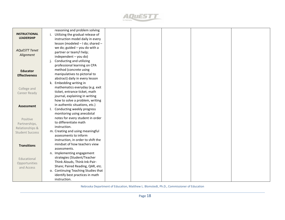

|                        | reasoning and problem solving       |  |  |  |
|------------------------|-------------------------------------|--|--|--|
| <b>INSTRUCTIONAL</b>   | i. Utilizing the gradual release of |  |  |  |
| <b>LEADERSHIP</b>      | instruction model daily in every    |  |  |  |
|                        | lesson (modeled - I do; shared -    |  |  |  |
|                        | we do; guided $-$ you do with a     |  |  |  |
| <b>AQUESTT Tenet</b>   | partner or team/I help;             |  |  |  |
| Alignment              | independent - you do)               |  |  |  |
|                        | Conducting and utilizing            |  |  |  |
|                        | professional learning on CPA        |  |  |  |
| <b>Educator</b>        | method (concrete using              |  |  |  |
| <b>Effectiveness</b>   | manipulatives to pictorial to       |  |  |  |
|                        | abstract) daily in every lesson     |  |  |  |
|                        | k. Embedding writing in             |  |  |  |
| College and            | mathematics everyday (e.g. exit     |  |  |  |
| Career Ready           | ticket, entrance ticket, math       |  |  |  |
|                        | journal, explaining in writing      |  |  |  |
|                        | how to solve a problem, writing     |  |  |  |
| <b>Assessment</b>      | in authentic situations, etc.)      |  |  |  |
|                        | I. Conducting weekly progress       |  |  |  |
|                        | monitoring using anecdotal          |  |  |  |
| Positive               | notes for every student in order    |  |  |  |
| Partnerships,          | to differentiate math               |  |  |  |
| Relationships &        | instruction.                        |  |  |  |
| <b>Student Success</b> | m. Creating and using meaningful    |  |  |  |
|                        | assessments to inform               |  |  |  |
|                        | instruction, in order to shift the  |  |  |  |
| <b>Transitions</b>     | mindset of how teachers view        |  |  |  |
|                        | assessments.                        |  |  |  |
|                        | n. Implementing engagement          |  |  |  |
| Educational            | strategies (Student/Teacher         |  |  |  |
| Opportunities          | Think Alouds, Think-Ink-Pair-       |  |  |  |
| and Access             | Share; Paired Reading, QAR, etc.    |  |  |  |
|                        | o. Continuing Teaching Studies that |  |  |  |
|                        | identify best practices in math     |  |  |  |
|                        | instruction.                        |  |  |  |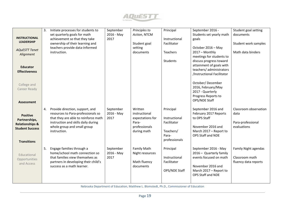

|                            | 3. | Initiate processes for students to                                 | September  | Principles to             | Principal     | September 2016 -                       | Student goal setting             |
|----------------------------|----|--------------------------------------------------------------------|------------|---------------------------|---------------|----------------------------------------|----------------------------------|
| <b>INSTRUCTIONAL</b>       |    | set quarterly goals for math                                       | 2016 - May | Action, NTCM              |               | Students set yearly math               | documents                        |
| <b>LEADERSHIP</b>          |    | achievement so that they take                                      | 2017       |                           | Instructional | goals                                  |                                  |
|                            |    | ownership of their learning and<br>teachers provide data-informed  |            | Student goal<br>setting   | Facilitator   | October 2016 - May                     | Student work samples             |
| <b>AQuESTT Tenet</b>       |    | instruction.                                                       |            | documents                 | Teachers      | 2017 - Monthly                         | Math data binders                |
| Alignment                  |    |                                                                    |            |                           |               | meetings for students to               |                                  |
|                            |    |                                                                    |            |                           | Students      | discuss progress toward                |                                  |
| <b>Educator</b>            |    |                                                                    |            |                           |               | attainment of goals with               |                                  |
| <b>Effectiveness</b>       |    |                                                                    |            |                           |               | teachers/ administrators               |                                  |
|                            |    |                                                                    |            |                           |               | /Instructional Facilitator             |                                  |
|                            |    |                                                                    |            |                           |               |                                        |                                  |
| College and                |    |                                                                    |            |                           |               | October/December<br>2016, February/May |                                  |
| Career Ready               |    |                                                                    |            |                           |               | 2017 - Quarterly                       |                                  |
|                            |    |                                                                    |            |                           |               | Progress Reports to                    |                                  |
|                            |    |                                                                    |            |                           |               | OPS/NDE Staff                          |                                  |
| <b>Assessment</b>          |    |                                                                    |            |                           |               |                                        |                                  |
|                            | 4. | Provide direction, support, and                                    | September  | Written                   | Principal     | September 2016 and                     | Classroom observation            |
| <b>Positive</b>            |    | resources to Para-professionals so                                 | 2016 - May | instructional             |               | February 2017 Reports                  | data                             |
| Partnerships,              |    | that they are able to reinforce math                               | 2017       | expectations for          | Instructional | to OPS Staff                           |                                  |
| <b>Relationships &amp;</b> |    | instruction and skills daily during<br>whole group and small group |            | Para-<br>professionals    | Facilitator   | November 2016 and                      | Para-professional<br>evaluations |
| <b>Student Success</b>     |    | instruction.                                                       |            | during math               | Teachers/     | March 2017 - Report to                 |                                  |
|                            |    |                                                                    |            |                           | Para-         | OPS Staff and NDE                      |                                  |
| <b>Transitions</b>         |    |                                                                    |            |                           | professionals |                                        |                                  |
|                            |    |                                                                    |            |                           |               |                                        |                                  |
|                            | 5. | Engage families through a                                          | September  | <b>Family Math</b>        | Principal     | September 2016 - May                   | Family Night agendas             |
| Educational                |    | home/school math connection so                                     | 2016 - May | Night resources           |               | 2016 - Quarterly family                |                                  |
| Opportunities              |    | that families view themselves as                                   | 2017       |                           | Instructional | events focused on math                 | Classroom math                   |
| and Access                 |    | partners in developing their child's<br>success as a math learner. |            | Math fluency<br>documents | Facilitator   | November 2016 and                      | fluency data reports             |
|                            |    |                                                                    |            |                           | OPS/NDE Staff | March 2017 - Report to                 |                                  |
|                            |    |                                                                    |            |                           |               | OPS Staff and NDE                      |                                  |
|                            |    |                                                                    |            |                           |               |                                        |                                  |
|                            |    |                                                                    |            |                           |               |                                        |                                  |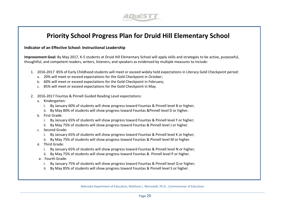

# **Priority School Progress Plan for Druid Hill Elementary School**

#### **Indicator of an Effective School: Instructional Leadership**

**Improvement Goal:** By May 2017, K-5 students at Druid Hill Elementary School will apply skills and strategies to be active, purposeful, thoughtful, and competent readers, writers, listeners, and speakers as evidenced by multiple measures to include:

- 1. 2016-2017 85% of Early Childhood students will meet or exceed widely held expectations in Literacy Gold Checkpoint period:
	- a. 20% will meet or exceed expectations for the Gold Checkpoint in October;
	- b. 60% will meet or exceed expectations for the Gold Checkpoint in February;
	- c. 85% will meet or exceed expectations for the Gold Checkpoint in May.
- 2. 2016-2017 Fountas & Pinnell Guided Reading Level expectations:
	- a. Kindergarten:
		- i. By January 60% of students will show progress toward Fountas & Pinnell level B or higher;
		- ii. By May 80% of students will show progress toward Fountas &Pinnell level D or higher.
	- b. First Grade:
		- i. By January 65% of students will show progress toward Fountas & Pinnell level F or higher;
		- ii. By May 75% of students will show progress toward Fountas & Pinnell level J or higher.
	- c. Second Grade:
		- i. By January 65% of students will show progress toward Fountas & Pinnell level K or higher;
		- ii. By May 75% of students will show progress toward Fountas & Pinnell level M or higher.
	- d. Third Grade:
		- i. By January 65% of students will show progress toward Fountas & Pinnell level N or higher;
		- ii. By May 75% of students will show progress toward Fountas & Pinnell level P or higher.
	- e. Fourth Grade:
		- i. By January 75% of students will show progress toward Fountas & Pinnell level Q or higher;
		- ii. By May 85% of students will show progress toward Fountas & Pinnell level S or higher.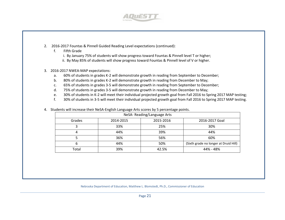

- 2. 2016-2017 Fountas & Pinnell Guided Reading Level expectations (continued):
	- f. Fifth Grade
		- i. By January 75% of students will show progress toward Fountas & Pinnell level T or higher;
		- ii. By May 85% of students will show progress toward Fountas & Pinnell level of V or higher.

#### 3. 2016-2017 NWEA-MAP expectations:

- a. 60% of students in grades K-2 will demonstrate growth in reading from September to December;
- b. 80% of students in grades K-2 will demonstrate growth in reading from December to May;
- c. 65% of students in grades 3-5 will demonstrate growth in reading from September to December;
- d. 75% of students in grades 3-5 will demonstrate growth in reading from December to May;
- e. 30% of students in K-2 will meet their individual projected growth goal from Fall 2016 to Spring 2017 MAP testing;
- f. 30% of students in 3-5 will meet their individual projected growth goal from Fall 2016 to Spring 2017 MAP testing.

| NeSA-Reading/Language Arts |           |           |                                       |  |  |  |  |
|----------------------------|-----------|-----------|---------------------------------------|--|--|--|--|
| Grades                     | 2014-2015 | 2015-2016 | 2016-2017 Goal                        |  |  |  |  |
|                            | 33%       | 25%       | 30%                                   |  |  |  |  |
| 4                          | 44%       | 39%       | 44%                                   |  |  |  |  |
| 36%                        |           | 56%       | 60%                                   |  |  |  |  |
| 44%<br>b                   |           | 50%       | (Sixth grade no longer at Druid Hill) |  |  |  |  |
| Total                      | 39%       | 42.5%     | 44% - 48%                             |  |  |  |  |

4. Students will increase their NeSA-English Language Arts scores by 5 percentage points.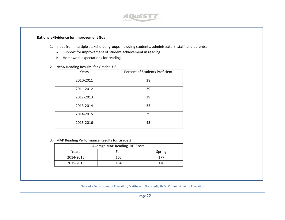

#### **Rationale/Evidence for improvement Goal:**

- 1. Input from multiple stakeholder groups including students, administrators, staff, and parents:
	- a. Support for improvement of student achievement in reading
	- b. Homework expectations for reading
- 2. NeSA-Reading Results for Grades 3-6

| Years     | Percent of Students Proficient |
|-----------|--------------------------------|
| 2010-2011 | 38                             |
| 2011-2012 | 39                             |
| 2012-2013 | 39                             |
| 2013-2014 | 35                             |
| 2014-2015 | 39                             |
| 2015-2016 | 43                             |

3. MAP Reading Performance Results for Grade 2

| Average MAP Reading RIT Score |      |        |  |  |  |  |
|-------------------------------|------|--------|--|--|--|--|
| Years                         | Fall | Spring |  |  |  |  |
| 2014-2015                     | 163  | 177    |  |  |  |  |
| 2015-2016                     | 164  | 176    |  |  |  |  |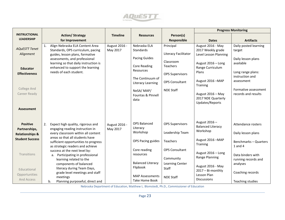

|                            |                                                                           |                 |                                              |                        |                                       | <b>Progress Monitoring</b>      |
|----------------------------|---------------------------------------------------------------------------|-----------------|----------------------------------------------|------------------------|---------------------------------------|---------------------------------|
| <b>INSTRUCTIONAL</b>       | <b>Action/ Strategy</b>                                                   | <b>Timeline</b> | <b>Resources</b>                             | Person(s)              |                                       |                                 |
| <b>LEADERSHIP</b>          | for Improvement                                                           |                 |                                              | Responsible            | <b>Dates</b>                          | <b>Artifacts</b>                |
|                            | Align Nebraska ELA Content Area<br>1.                                     | August 2016 -   | Nebraska ELA                                 | Principal              | August 2016 - May                     | Daily posted learning           |
| <b>AQuESTT Tenet</b>       | Standards, OPS curriculum, pacing                                         | May 2017        | Standards                                    |                        | 2017 Weekly grade                     | target                          |
| Alignment                  | guides, lesson plans, formative                                           |                 | <b>Pacing Guides</b>                         | Literacy Facilitator   | Level Lesson Planning                 |                                 |
|                            | assessments, and professional                                             |                 |                                              | Classroom              | August 2016 - Long                    | Daily lesson plans<br>available |
|                            | learning so that daily instruction is<br>enhanced to support the learning |                 | <b>Core Reading</b>                          | Teachers               | Range Curriculum                      |                                 |
| <b>Educator</b>            | needs of each student.                                                    |                 | Resources                                    |                        | Plans                                 | Long range plans:               |
| <b>Effectiveness</b>       |                                                                           |                 |                                              | <b>OPS Supervisors</b> |                                       | instruction and                 |
|                            |                                                                           |                 | The Continuum of<br><b>Literacy Learning</b> | <b>OPS Consultant</b>  | August 2016 - MAP                     | assessment                      |
|                            |                                                                           |                 |                                              |                        | Training                              |                                 |
| College And                |                                                                           |                 | NeSA/MAP/                                    | <b>NDE Staff</b>       |                                       | Formative assessment            |
| Career Ready               |                                                                           |                 | Fountas & Pinnell                            |                        | August 2016 - May                     | records and results             |
|                            |                                                                           |                 | data                                         |                        | 2017 NDE Quarterly<br>Updates/Reports |                                 |
|                            |                                                                           |                 |                                              |                        |                                       |                                 |
| <b>Assessment</b>          |                                                                           |                 |                                              |                        |                                       |                                 |
|                            |                                                                           |                 |                                              |                        |                                       |                                 |
|                            |                                                                           |                 | <b>OPS Balanced</b>                          |                        | August 2016 -                         |                                 |
| <b>Positive</b>            | Expect high quality, rigorous and<br>2.                                   | August 2016 -   | Literacy                                     | <b>OPS Supervisors</b> | <b>Balanced Literacy</b>              | Attendance rosters              |
| Partnerships,              | engaging reading instruction in<br>every classroom within all content     | May 2017        | Workshop                                     | Leadership Team        | Workshop                              | Daily lesson plans              |
| <b>Relationships &amp;</b> | areas so that all students have                                           |                 |                                              |                        |                                       |                                 |
| <b>Student Success</b>     | sufficient opportunities to progress                                      |                 | OPS Pacing guides                            | Teachers               | August 2016 - MAP                     | Benchmarks - Quarters           |
|                            | as strategic readers and achieve                                          |                 |                                              |                        | Training                              | $1$ and $4$                     |
|                            | success at the next level by:                                             |                 | Core reading                                 | <b>OPS Consultant</b>  | August 2016 - Long                    |                                 |
| Transitions                | a. Participating in professional                                          |                 | resources                                    | Community              | Range Planning                        | Data binders with               |
|                            | learning related to the                                                   |                 | <b>Balanced Literacy</b>                     | Learning Center        |                                       | running records and             |
|                            | components of balanced<br>literacy during Team Days,                      |                 | Flipbook                                     | Staff                  | August 2016 - May                     | analyses                        |
| Educational                | grade level meetings and staff                                            |                 |                                              |                        | 2017 - Bi-monthly                     | Coaching records                |
| Opportunities              | meetings                                                                  |                 | <b>MAP Assessments</b>                       | <b>NDE Staff</b>       | Lesson Plan                           |                                 |
| And Access                 | Planning purposeful, direct and<br>b.                                     |                 | Take Home Book                               |                        | <b>Discussions</b>                    | Teaching studies                |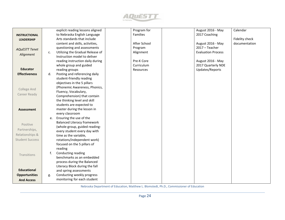

|                        |    | explicit reading lessons aligned   | Program for     | August 2016 - May         | Calendar       |
|------------------------|----|------------------------------------|-----------------|---------------------------|----------------|
| <b>INSTRUCTIONAL</b>   |    | to Nebraska English Language       | <b>Families</b> | 2017 Coaching             |                |
| <b>LEADERSHIP</b>      |    | Arts standards that include        |                 |                           | Fidelity check |
|                        |    | content and skills, activities,    | After School    | August 2016 - May         | documentation  |
|                        |    | questioning and assessments        | Program         | 2017 - Teacher            |                |
| <b>AQUESTT Tenet</b>   | c. | Utilizing the Gradual Release of   | Alignment       | <b>Evaluation Process</b> |                |
| Alignment              |    | Instruction model to deliver       |                 |                           |                |
|                        |    | reading instruction daily during   | Pre-K Core      | August 2016 - May         |                |
|                        |    | whole group and guided             | Curriculum      | 2017 Quarterly NDE        |                |
| <b>Educator</b>        |    | reading groups                     | Resources       | Updates/Reports           |                |
| <b>Effectiveness</b>   | d. | Posting and referencing daily      |                 |                           |                |
|                        |    | student-friendly reading           |                 |                           |                |
|                        |    | objectives in the 5 pillars        |                 |                           |                |
|                        |    | (Phonemic Awareness, Phonics,      |                 |                           |                |
| College And            |    | Fluency, Vocabulary,               |                 |                           |                |
| Career Ready           |    | Comprehension) that contain        |                 |                           |                |
|                        |    | the thinking level and skill       |                 |                           |                |
|                        |    | students are expected to           |                 |                           |                |
| <b>Assessment</b>      |    | master during the lesson in        |                 |                           |                |
|                        |    | every classroom                    |                 |                           |                |
|                        | e. | Ensuring the use of the            |                 |                           |                |
| Positive               |    | <b>Balanced Literacy framework</b> |                 |                           |                |
|                        |    | (whole-group, guided reading-      |                 |                           |                |
| Partnerships,          |    | every student every day with       |                 |                           |                |
| Relationships &        |    | time as the variable,              |                 |                           |                |
| <b>Student Success</b> |    | rotations/independent work)        |                 |                           |                |
|                        |    | focused on the 5 pillars of        |                 |                           |                |
|                        |    | reading                            |                 |                           |                |
| Transitions            | f. | Conducting reading                 |                 |                           |                |
|                        |    | benchmarks as an embedded          |                 |                           |                |
|                        |    | process during the Balanced        |                 |                           |                |
| <b>Educational</b>     |    | Literacy Block during the fall     |                 |                           |                |
|                        |    | and spring assessments             |                 |                           |                |
| <b>Opportunities</b>   | g. | Conducting weekly progress         |                 |                           |                |
| <b>And Access</b>      |    | monitoring for each student        |                 |                           |                |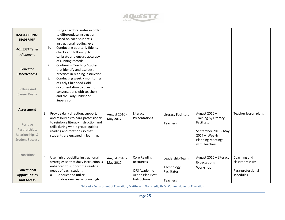

| <b>INSTRUCTIONAL</b><br><b>LEADERSHIP</b><br><b>AQuESTT Tenet</b><br>Alignment              | using anecdotal notes in order<br>to differentiate instruction<br>based on each student's<br>instructional reading level<br>Conducting quarterly fidelity<br>h.<br>checks and follow-up to<br>calibrate and ensure accuracy<br>of running records                                    |                           |                                                                                                     |                                                          |                                                                                                                                           |                                                                    |
|---------------------------------------------------------------------------------------------|--------------------------------------------------------------------------------------------------------------------------------------------------------------------------------------------------------------------------------------------------------------------------------------|---------------------------|-----------------------------------------------------------------------------------------------------|----------------------------------------------------------|-------------------------------------------------------------------------------------------------------------------------------------------|--------------------------------------------------------------------|
| <b>Educator</b><br><b>Effectiveness</b><br>College And<br>Career Ready                      | <b>Continuing Teaching Studies</b><br>i.<br>that identify and use best<br>practices in reading instruction<br>Conducting weekly monitoring<br>j.<br>of Early Childhood Gold<br>documentation to plan monthly<br>conversations with teachers<br>and the Early Childhood<br>Supervisor |                           |                                                                                                     |                                                          |                                                                                                                                           |                                                                    |
| <b>Assessment</b><br>Positive<br>Partnerships,<br>Relationships &<br><b>Student Success</b> | Provide daily direction, support,<br>3.<br>and resources to para-professionals<br>to reinforce literacy instruction and<br>skills during whole group, guided<br>reading and rotations so that<br>students are engaged in learning.                                                   | August 2016 -<br>May 2017 | Literacy<br>Presentations                                                                           | Literacy Facilitator<br>Teachers                         | August 2016-<br>Training by Literacy<br>Facilitator<br>September 2016 - May<br>2017 - Weekly<br><b>Planning Meetings</b><br>with Teachers | Teacher lesson plans                                               |
| Transitions<br><b>Educational</b><br><b>Opportunities</b><br><b>And Access</b>              | Use high probability instructional<br>4.<br>strategies so that daily instruction is<br>enhanced to support the reading<br>needs of each student:<br>Conduct and utilize<br>a.<br>professional learning on high                                                                       | August 2016 -<br>May 2017 | <b>Core Reading</b><br>Resources<br><b>OPS Academic</b><br><b>Action Plan Best</b><br>Instructional | Leadership Team<br>Technology<br>Facilitator<br>Teachers | August 2016 - Literacy<br>Expectations<br>Workshop                                                                                        | Coaching and<br>classroom visits<br>Para-professional<br>schedules |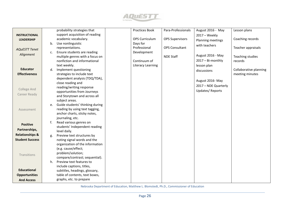

|                            | probability strategies that           | <b>Practices Book</b> | Para-Professionals     | August 2016 - May      | Lesson plans           |
|----------------------------|---------------------------------------|-----------------------|------------------------|------------------------|------------------------|
| <b>INSTRUCTIONAL</b>       | support acquisition of reading        |                       |                        | 2017 - Weekly          |                        |
| <b>LEADERSHIP</b>          | academic vocabulary.                  | <b>OPS Curriculum</b> | <b>OPS Supervisors</b> | Planning meetings      | Coaching records       |
|                            | Use nonlinguistic<br>b.               | Days for              |                        | with teachers          |                        |
| <b>AQuESTT Tenet</b>       | representations.                      | Professional          | <b>OPS Consultant</b>  |                        | Teacher appraisals     |
|                            | Ensure students are reading<br>c.     | Development           |                        |                        |                        |
| Alignment                  | multiple genres with a focus on       |                       | <b>NDE Staff</b>       | August 2016 - May      | Teaching studies       |
|                            | nonfiction and informational          | Continuum of          |                        | 2017 - Bi-monthly      | records                |
|                            | text weekly.                          | Literacy Learning     |                        | lesson plan            |                        |
| <b>Educator</b>            | Implement questioning<br>d.           |                       |                        | discussions            | Collaborative planning |
| <b>Effectiveness</b>       | strategies to include text            |                       |                        |                        | meeting minutes        |
|                            | dependent analysis (TDQ/TDA),         |                       |                        | August 2016-May        |                        |
|                            | close reading and                     |                       |                        |                        |                        |
| <b>College And</b>         | reading/writing response              |                       |                        | 2017 - NDE Quarterly   |                        |
|                            | opportunities from Journeys           |                       |                        | <b>Updates/Reports</b> |                        |
| Career Ready               | and Storytown and across all          |                       |                        |                        |                        |
|                            | subject areas.                        |                       |                        |                        |                        |
|                            | Guide students' thinking during<br>e. |                       |                        |                        |                        |
| Assessment                 | reading by using text tagging,        |                       |                        |                        |                        |
|                            | anchor charts, sticky notes,          |                       |                        |                        |                        |
|                            | journaling, etc.                      |                       |                        |                        |                        |
| <b>Positive</b>            | f.<br>Read various genres on          |                       |                        |                        |                        |
| Partnerships,              | students' Independent reading         |                       |                        |                        |                        |
|                            | level daily.                          |                       |                        |                        |                        |
| <b>Relationships &amp;</b> | Preview text structures by<br>g.      |                       |                        |                        |                        |
| <b>Student Success</b>     | noting signal words and the           |                       |                        |                        |                        |
|                            | organization of the information       |                       |                        |                        |                        |
|                            | (e.g. cause/effect;                   |                       |                        |                        |                        |
| Transitions                | problem/solution;                     |                       |                        |                        |                        |
|                            | compare/contrast; sequential).        |                       |                        |                        |                        |
|                            | Preview text features to<br>h.        |                       |                        |                        |                        |
| <b>Educational</b>         | include captions, titles,             |                       |                        |                        |                        |
|                            | subtitles, headings, glossary,        |                       |                        |                        |                        |
| <b>Opportunities</b>       | table of contents, text boxes,        |                       |                        |                        |                        |
| <b>And Access</b>          | graphs, etc. to prepare               |                       |                        |                        |                        |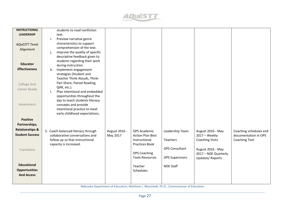

| <b>INSTRUCTIONAL</b>       | students to read nonfiction           |               |                         |                        |                        |                        |
|----------------------------|---------------------------------------|---------------|-------------------------|------------------------|------------------------|------------------------|
| <b>LEADERSHIP</b>          | text.                                 |               |                         |                        |                        |                        |
|                            | i.<br>Preview narrative genre         |               |                         |                        |                        |                        |
| <b>AQuESTT Tenet</b>       | characteristics to support            |               |                         |                        |                        |                        |
| Alignment                  | comprehension of the text.            |               |                         |                        |                        |                        |
|                            | Improve the quality of specific<br>j. |               |                         |                        |                        |                        |
|                            | descriptive feedback given to         |               |                         |                        |                        |                        |
|                            | students regarding their work         |               |                         |                        |                        |                        |
| <b>Educator</b>            | during instruction.                   |               |                         |                        |                        |                        |
| <b>Effectiveness</b>       | Implement engagement<br>k.            |               |                         |                        |                        |                        |
|                            | strategies (Student and               |               |                         |                        |                        |                        |
|                            | Teacher Think-Alouds, Think-          |               |                         |                        |                        |                        |
|                            | Pair-Share, Paired Reading,           |               |                         |                        |                        |                        |
| College And                | QAR, etc.).                           |               |                         |                        |                        |                        |
| Career Ready               | Plan intentional and embedded<br>I.   |               |                         |                        |                        |                        |
|                            | opportunities throughout the          |               |                         |                        |                        |                        |
|                            | day to teach students literacy        |               |                         |                        |                        |                        |
| Assessment                 | concepts and provide                  |               |                         |                        |                        |                        |
|                            | intentional practice to meet          |               |                         |                        |                        |                        |
|                            |                                       |               |                         |                        |                        |                        |
|                            | early childhood expectations.         |               |                         |                        |                        |                        |
| <b>Positive</b>            |                                       |               |                         |                        |                        |                        |
| Partnerships,              |                                       |               |                         |                        |                        |                        |
| <b>Relationships &amp;</b> |                                       |               |                         |                        |                        |                        |
| <b>Student Success</b>     | 5. Coach balanced literacy through    | August 2016 - | <b>OPS Academic</b>     | Leadership Team        | August 2016 - May      | Coaching schedules and |
|                            | collaborative conversations and       | May 2017      | <b>Action Plan Best</b> |                        | 2017 - Weekly          | documentation in OPS   |
|                            | follow up so that instructional       |               | Instructional           | Teachers               | <b>Coaching Visits</b> | <b>Coaching Tool</b>   |
|                            | capacity is increased.                |               | Practices Book          |                        |                        |                        |
| Transitions                |                                       |               |                         | <b>OPS Consultant</b>  | August 2016 - May      |                        |
|                            |                                       |               | <b>OPS Coaching</b>     |                        | 2017 - NDE Quarterly   |                        |
|                            |                                       |               | <b>Tools Resources</b>  | <b>OPS Supervisors</b> | <b>Updates/Reports</b> |                        |
| <b>Educational</b>         |                                       |               |                         |                        |                        |                        |
|                            |                                       |               | Teacher                 | <b>NDE Staff</b>       |                        |                        |
| <b>Opportunities</b>       |                                       |               | <b>Schedules</b>        |                        |                        |                        |
| <b>And Access</b>          |                                       |               |                         |                        |                        |                        |
|                            |                                       |               |                         |                        |                        |                        |
|                            |                                       |               |                         |                        |                        |                        |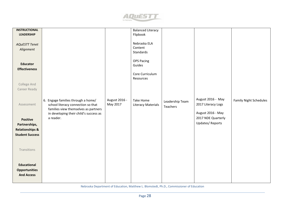

| <b>INSTRUCTIONAL</b>       |                                        |               | <b>Balanced Literacy</b>  |                 |                        |                               |
|----------------------------|----------------------------------------|---------------|---------------------------|-----------------|------------------------|-------------------------------|
| <b>LEADERSHIP</b>          |                                        |               | Flipbook                  |                 |                        |                               |
|                            |                                        |               |                           |                 |                        |                               |
|                            |                                        |               | Nebraska ELA              |                 |                        |                               |
| <b>AQuESTT Tenet</b>       |                                        |               | Content                   |                 |                        |                               |
| Alignment                  |                                        |               |                           |                 |                        |                               |
|                            |                                        |               | Standards                 |                 |                        |                               |
|                            |                                        |               |                           |                 |                        |                               |
|                            |                                        |               | <b>OPS Pacing</b>         |                 |                        |                               |
| <b>Educator</b>            |                                        |               | Guides                    |                 |                        |                               |
| <b>Effectiveness</b>       |                                        |               |                           |                 |                        |                               |
|                            |                                        |               | Core Curriculum           |                 |                        |                               |
|                            |                                        |               | Resources                 |                 |                        |                               |
|                            |                                        |               |                           |                 |                        |                               |
| College And                |                                        |               |                           |                 |                        |                               |
| Career Ready               |                                        |               |                           |                 |                        |                               |
|                            |                                        |               |                           |                 |                        |                               |
|                            |                                        |               |                           |                 |                        |                               |
|                            | 6. Engage families through a home/     | August 2016 - | Take Home                 | Leadership Team | August 2016 - May      | <b>Family Night Schedules</b> |
| Assessment                 | school literacy connection so that     | May 2017      | <b>Literacy Materials</b> | Teachers        | 2017 Literacy Logs     |                               |
|                            | families view themselves as partners   |               |                           |                 |                        |                               |
|                            | in developing their child's success as |               |                           |                 | August 2016 - May      |                               |
|                            | a reader.                              |               |                           |                 | 2017 NDE Quarterly     |                               |
| <b>Positive</b>            |                                        |               |                           |                 |                        |                               |
| Partnerships,              |                                        |               |                           |                 | <b>Updates/Reports</b> |                               |
| <b>Relationships &amp;</b> |                                        |               |                           |                 |                        |                               |
| <b>Student Success</b>     |                                        |               |                           |                 |                        |                               |
|                            |                                        |               |                           |                 |                        |                               |
|                            |                                        |               |                           |                 |                        |                               |
|                            |                                        |               |                           |                 |                        |                               |
| Transitions                |                                        |               |                           |                 |                        |                               |
|                            |                                        |               |                           |                 |                        |                               |
|                            |                                        |               |                           |                 |                        |                               |
|                            |                                        |               |                           |                 |                        |                               |
| <b>Educational</b>         |                                        |               |                           |                 |                        |                               |
| <b>Opportunities</b>       |                                        |               |                           |                 |                        |                               |
|                            |                                        |               |                           |                 |                        |                               |
| <b>And Access</b>          |                                        |               |                           |                 |                        |                               |
|                            |                                        |               |                           |                 |                        |                               |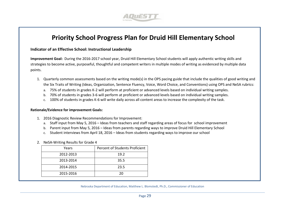

# **Priority School Progress Plan for Druid Hill Elementary School**

#### **Indicator of an Effective School: Instructional Leadership**

**Improvement Goal:** During the 2016-2017 school year, Druid Hill Elementary School students will apply authentic writing skills and strategies to become active, purposeful, thoughtful and competent writers in multiple modes of writing as evidenced by multiple data points.

- 1. Quarterly common assessments based on the writing mode(s) in the OPS pacing guide that include the qualities of good writing and the Six Traits of Writing (Ideas, Organization, Sentence Fluency, Voice, Word Choice, and Conventions) using OPS and NeSA rubrics:
	- a. 75% of students in grades K-2 will perform at proficient or advanced levels based on individual writing samples.
	- b. 70% of students in grades 3-6 will perform at proficient or advanced levels based on individual writing samples.
	- c. 100% of students in grades K-6 will write daily across all content areas to increase the complexity of the task.

#### **Rationale/Evidence for improvement Goals:**

- 1. 2016 Diagnostic Review Recommendations for Improvement:
	- a. Staff input from May 5, 2016 Ideas from teachers and staff regarding areas of focus for school improvement
	- b. Parent input from May 5, 2016 Ideas from parents regarding ways to improve Druid Hill Elementary School
	- c. Student interviews from April 18, 2016 Ideas from students regarding ways to improve our school
- 2. NeSA-Writing Results for Grade 4

| Years     | Percent of Students Proficient |
|-----------|--------------------------------|
| 2012-2013 | 19.2                           |
| 2013-2014 | 35.5                           |
| 2014-2015 | 23.5                           |
| 2015-2016 | 20                             |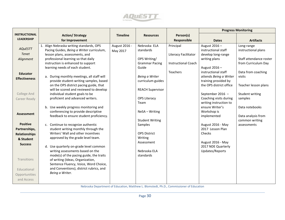

|                      |                                                                          |                 |                         |                            | <b>Progress Monitoring</b> |                         |
|----------------------|--------------------------------------------------------------------------|-----------------|-------------------------|----------------------------|----------------------------|-------------------------|
| <b>INSTRUCTIONAL</b> | <b>Action/ Strategy</b>                                                  | <b>Timeline</b> | <b>Resources</b>        | Person(s)                  |                            |                         |
| <b>LEADERSHIP</b>    | for Improvement                                                          |                 |                         | Responsible                | <b>Dates</b>               | <b>Artifacts</b>        |
|                      | 1. Align Nebraska writing standards, OPS                                 | August 2016 -   | Nebraska ELA            | Principal                  | August 2016-               | Long-range              |
| <b>AQUESTT</b>       | Pacing Guides, Being a Writer curriculum,                                | May 2017        | standards               |                            | instructional staff        | instructional plans     |
| <b>Tenet</b>         | lesson plans, assessments, and                                           |                 |                         | Literacy Facilitator       | develop long-range         |                         |
| Alignment            | professional learning so that daily                                      |                 | OPS Writing/            |                            | writing plans              | Staff attendance roster |
|                      | instruction is enhanced to support                                       |                 | <b>Grammar Pacing</b>   | <b>Instructional Coach</b> |                            | from Curriculum Day     |
|                      | learning needs of each student.                                          |                 | Guide                   |                            | August 2016-               |                         |
| <b>Educator</b>      |                                                                          |                 |                         | Teachers                   | instructional staff        | Data from coaching      |
| <b>Effectiveness</b> | a. During monthly meetings, all staff will                               |                 | Being a Writer          |                            | attends Being a Writer     | visits                  |
|                      | provide student-writing samples, based                                   |                 | curriculum guides       |                            | training provided by       |                         |
|                      | on the OPS district pacing guide, that                                   |                 |                         |                            | the OPS district office    | Teacher lesson plans    |
| College And          | will be scored and reviewed to develop<br>individual student goals to be |                 | <b>REACH Supervisor</b> |                            | September 2016 -           | Student writing         |
|                      | proficient and advanced writers.                                         |                 | <b>OPS Literacy</b>     |                            | Coaching visits during     |                         |
| Career Ready         |                                                                          |                 | Team                    |                            | writing instruction to     | samples                 |
|                      | b. Use weekly progress monitoring and                                    |                 |                         |                            | ensure Writer's            | Data notebooks          |
|                      | conferencing to provide descriptive                                      |                 | NeSA - Writing          |                            | Workshop is                |                         |
| Assessment           | feedback to ensure student proficiency.                                  |                 |                         |                            | implemented                | Data analysis from      |
|                      |                                                                          |                 | <b>Student Writing</b>  |                            |                            | common writing          |
| <b>Positive</b>      | c. Continue to recognize authentic                                       |                 | Samples                 |                            | August 2016 - May          | assessments             |
| Partnerships,        | student writing monthly through the                                      |                 |                         |                            | 2017 Lesson Plan           |                         |
| <b>Relationships</b> | Writers' Wall and other incentives                                       |                 | <b>OPS District</b>     |                            | Checks                     |                         |
| & Student            | approved by the grade level team.                                        |                 | Writing                 |                            |                            |                         |
| <b>Success</b>       |                                                                          |                 | Assessment              |                            | August 2016 - May          |                         |
|                      | d. Use quarterly on-grade level common                                   |                 |                         |                            | 2017 NDE Quarterly         |                         |
|                      | writing assessments based on the                                         |                 | Nebraska ELA            |                            | Updates/Reports            |                         |
|                      | mode(s) of the pacing guide, the traits                                  |                 | standards               |                            |                            |                         |
| Transitions          | of writing (Ideas, Organization,                                         |                 |                         |                            |                            |                         |
|                      | Sentence Fluency, Voice, Word Choice,                                    |                 |                         |                            |                            |                         |
| Educational          | and Conventions), district rubrics, and<br>Being a Writer.               |                 |                         |                            |                            |                         |
| Opportunities        |                                                                          |                 |                         |                            |                            |                         |
| and Access           |                                                                          |                 |                         |                            |                            |                         |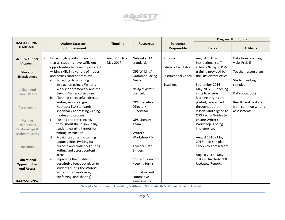

|                                           |                                                                |                 |                             |                                 | <b>Progress Monitoring</b>              |                        |
|-------------------------------------------|----------------------------------------------------------------|-----------------|-----------------------------|---------------------------------|-----------------------------------------|------------------------|
| <b>INSTRUCTIONAL</b><br><b>LEADERSHIP</b> | <b>Action/ Strategy</b><br>for Improvement                     | <b>Timeline</b> | <b>Resources</b>            | Person(s)<br><b>Responsible</b> | <b>Dates</b>                            | <b>Artifacts</b>       |
|                                           |                                                                |                 |                             |                                 |                                         |                        |
| <b>AQUESTT Tenet</b>                      | Expect high quality instruction so<br>2.                       | August 2016 -   | Nebraska ELA                | Principal                       | August 2016 -                           | Data from coaching     |
| Alignment                                 | that all students have sufficient                              | May 2017        | standards                   |                                 | Instructional staff                     | visits PreK-5          |
|                                           | opportunities to develop proficient                            |                 |                             | Literacy Facilitator            | attends Being a Writer                  |                        |
| <b>Educator</b>                           | writing skills in a variety of modes                           |                 | OPS Writing/                |                                 | training provided by                    | Teacher lesson plans   |
| <b>Effectiveness</b>                      | and across content areas by:                                   |                 | <b>Grammar Pacing</b>       | <b>Instructional Coach</b>      | the OPS district office                 |                        |
|                                           | Providing daily writing<br>a.                                  |                 | Guide                       |                                 |                                         | Student writing        |
|                                           | instruction using a Writer's                                   |                 |                             | Teachers                        | September 2016 -                        | samples                |
| <b>College And</b>                        | Workshop framework and the                                     |                 | Being a Writer              |                                 | May $2017 -$ Coaching                   |                        |
| Career Ready                              | Being a Writer curriculum                                      |                 | curriculum                  |                                 | visits to ensure                        | Data notebooks         |
|                                           | Planning purposeful, directed<br>$b_{\cdot}$                   |                 |                             |                                 | learning targets are                    |                        |
|                                           | writing lessons aligned to                                     |                 | <b>OPS Executive</b>        |                                 | posted, referenced                      | Results and next steps |
| Assessment                                | Nebraska ELA standards,                                        |                 | Director/                   |                                 | throughout the                          | from common writing    |
|                                           | specifically addressing writing                                |                 | Supervisor                  |                                 | lessons and aligned to                  | assessments            |
|                                           | modes and process                                              |                 |                             |                                 | OPS Pacing Guides to<br>ensure Writer's |                        |
| Positive                                  | Posting and referencing,<br>c.<br>throughout the lesson, daily |                 | <b>OPS Literacy</b><br>Team |                                 | Workshop is being                       |                        |
| Partnerships,                             | student learning targets for                                   |                 |                             |                                 | implemented                             |                        |
| Relationships &                           | writing instruction                                            |                 | Writer's                    |                                 |                                         |                        |
| <b>Student Success</b>                    | Providing authentic writing<br>d.                              |                 | Workshop PD                 |                                 | August 2016 - May                       |                        |
|                                           | opportunities (writing for                                     |                 |                             |                                 | 2017 - Lesson plan                      |                        |
| Transitions                               | purpose and audience) during                                   |                 | <b>Teacher Data</b>         |                                 | checks by admin team                    |                        |
|                                           | writing and across content                                     |                 | <b>Binders</b>              |                                 |                                         |                        |
|                                           | areas                                                          |                 |                             |                                 | August 2016 - May                       |                        |
| <b>Educational</b>                        | Improving the quality of<br>e.                                 |                 | Conferring record           |                                 | 2017 - Quarterly NDE                    |                        |
| <b>Opportunities</b>                      | descriptive feedback given to                                  |                 | keeping forms               |                                 | <b>Updates/Reports</b>                  |                        |
| <b>And Access</b>                         | students during the Writer's                                   |                 |                             |                                 |                                         |                        |
|                                           | Workshop (mini-lesson,                                         |                 | Formative and               |                                 |                                         |                        |
|                                           | conferring, and sharing)                                       |                 | summative                   |                                 |                                         |                        |
| <b>INSTRUCTIONAL</b>                      |                                                                |                 | assessments                 |                                 |                                         |                        |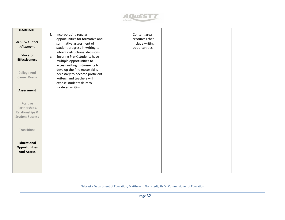

| <b>LEADERSHIP</b>                                                      |                                                                                                                                                               |                                                                    |  |  |
|------------------------------------------------------------------------|---------------------------------------------------------------------------------------------------------------------------------------------------------------|--------------------------------------------------------------------|--|--|
| <b>AQuESTT Tenet</b><br>Alignment                                      | Incorporating regular<br>f.<br>opportunities for formative and<br>summative assessment of<br>student progress in writing to<br>inform instructional decisions | Content area<br>resources that<br>include writing<br>opportunities |  |  |
| <b>Educator</b><br><b>Effectiveness</b>                                | Ensuring Pre-K students have<br>g.<br>multiple opportunities to<br>access writing instruments to<br>develop the fine motor skills                             |                                                                    |  |  |
| College And<br>Career Ready                                            | necessary to become proficient<br>writers, and teachers will<br>expose students daily to<br>modeled writing.                                                  |                                                                    |  |  |
| Assessment                                                             |                                                                                                                                                               |                                                                    |  |  |
| Positive<br>Partnerships,<br>Relationships &<br><b>Student Success</b> |                                                                                                                                                               |                                                                    |  |  |
| Transitions                                                            |                                                                                                                                                               |                                                                    |  |  |
| <b>Educational</b><br><b>Opportunities</b><br><b>And Access</b>        |                                                                                                                                                               |                                                                    |  |  |